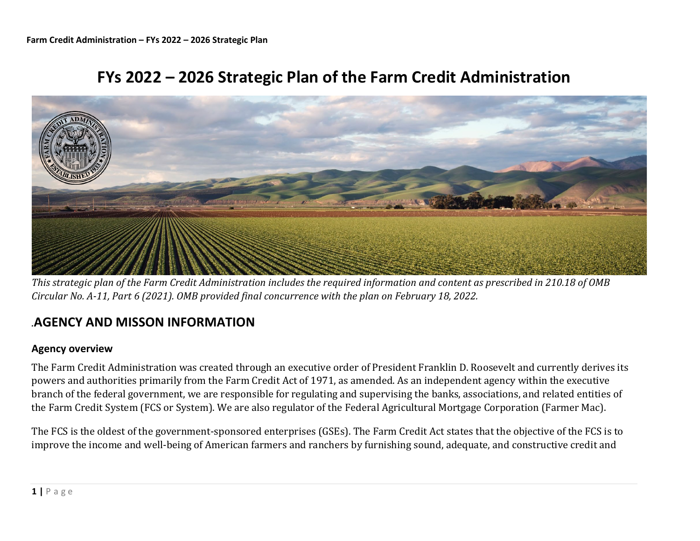



*This strategic plan of the Farm Credit Administration includes the required information and content as prescribed in 210.18 of OMB Circular No. A-11, Part 6 (2021). OMB provided final concurrence with the plan on February 18, 2022.*

# *.***AGENCY AND MISSON INFORMATION**

### **Agency overview**

The Farm Credit Administration was created through an executive order of President Franklin D. Roosevelt and currently derives its powers and authorities primarily from the Farm Credit Act of 1971, as amended. As an independent agency within the executive branch of the federal government, we are responsible for regulating and supervising the banks, associations, and related entities of the Farm Credit System (FCS or System). We are also regulator of the Federal Agricultural Mortgage Corporation (Farmer Mac).

The FCS is the oldest of the government-sponsored enterprises (GSEs). The Farm Credit Act states that the objective of the FCS is to improve the income and well-being of American farmers and ranchers by furnishing sound, adequate, and constructive credit and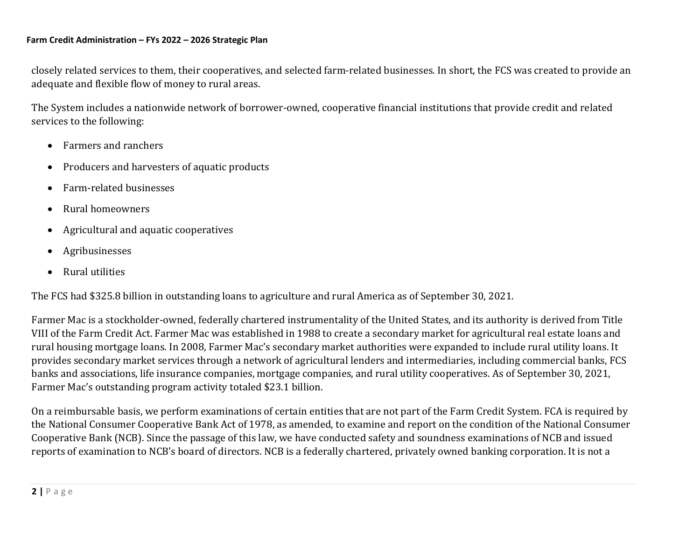closely related services to them, their cooperatives, and selected farm-related businesses. In short, the FCS was created to provide an adequate and flexible flow of money to rural areas.

The System includes a nationwide network of borrower-owned, cooperative financial institutions that provide credit and related services to the following:

- Farmers and ranchers
- Producers and harvesters of aquatic products
- Farm-related businesses
- Rural homeowners
- Agricultural and aquatic cooperatives
- Agribusinesses
- Rural utilities

The FCS had \$325.8 billion in outstanding loans to agriculture and rural America as of September 30, 2021.

Farmer Mac is a stockholder-owned, federally chartered instrumentality of the United States, and its authority is derived from Title VIII of the Farm Credit Act. Farmer Mac was established in 1988 to create a secondary market for agricultural real estate loans and rural housing mortgage loans. In 2008, Farmer Mac's secondary market authorities were expanded to include rural utility loans. It provides secondary market services through a network of agricultural lenders and intermediaries, including commercial banks, FCS banks and associations, life insurance companies, mortgage companies, and rural utility cooperatives. As of September 30, 2021, Farmer Mac's outstanding program activity totaled \$23.1 billion.

On a reimbursable basis, we perform examinations of certain entities that are not part of the Farm Credit System. FCA is required by the National Consumer Cooperative Bank Act of 1978, as amended, to examine and report on the condition of the National Consumer Cooperative Bank (NCB). Since the passage of this law, we have conducted safety and soundness examinations of NCB and issued reports of examination to NCB's board of directors. NCB is a federally chartered, privately owned banking corporation. It is not a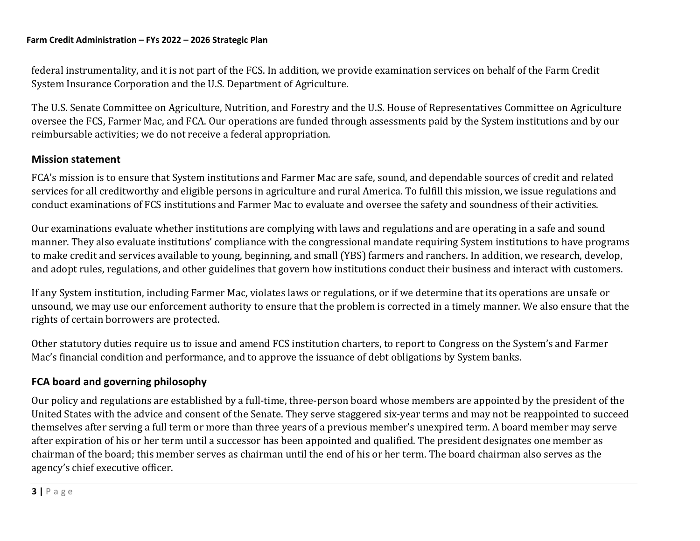federal instrumentality, and it is not part of the FCS. In addition, we provide examination services on behalf of the Farm Credit System Insurance Corporation and the U.S. Department of Agriculture.

The U.S. Senate Committee on Agriculture, Nutrition, and Forestry and the U.S. House of Representatives Committee on Agriculture oversee the FCS, Farmer Mac, and FCA. Our operations are funded through assessments paid by the System institutions and by our reimbursable activities; we do not receive a federal appropriation.

## **Mission statement**

FCA's mission is to ensure that System institutions and Farmer Mac are safe, sound, and dependable sources of credit and related services for all creditworthy and eligible persons in agriculture and rural America. To fulfill this mission, we issue regulations and conduct examinations of FCS institutions and Farmer Mac to evaluate and oversee the safety and soundness of their activities.

Our examinations evaluate whether institutions are complying with laws and regulations and are operating in a safe and sound manner. They also evaluate institutions' compliance with the congressional mandate requiring System institutions to have programs to make credit and services available to young, beginning, and small (YBS) farmers and ranchers. In addition, we research, develop, and adopt rules, regulations, and other guidelines that govern how institutions conduct their business and interact with customers.

If any System institution, including Farmer Mac, violates laws or regulations, or if we determine that its operations are unsafe or unsound, we may use our enforcement authority to ensure that the problem is corrected in a timely manner. We also ensure that the rights of certain borrowers are protected.

Other statutory duties require us to issue and amend FCS institution charters, to report to Congress on the System's and Farmer Mac's financial condition and performance, and to approve the issuance of debt obligations by System banks.

# **FCA board and governing philosophy**

Our policy and regulations are established by a full-time, three-person board whose members are appointed by the president of the United States with the advice and consent of the Senate. They serve staggered six-year terms and may not be reappointed to succeed themselves after serving a full term or more than three years of a previous member's unexpired term. A board member may serve after expiration of his or her term until a successor has been appointed and qualified. The president designates one member as chairman of the board; this member serves as chairman until the end of his or her term. The board chairman also serves as the agency's chief executive officer.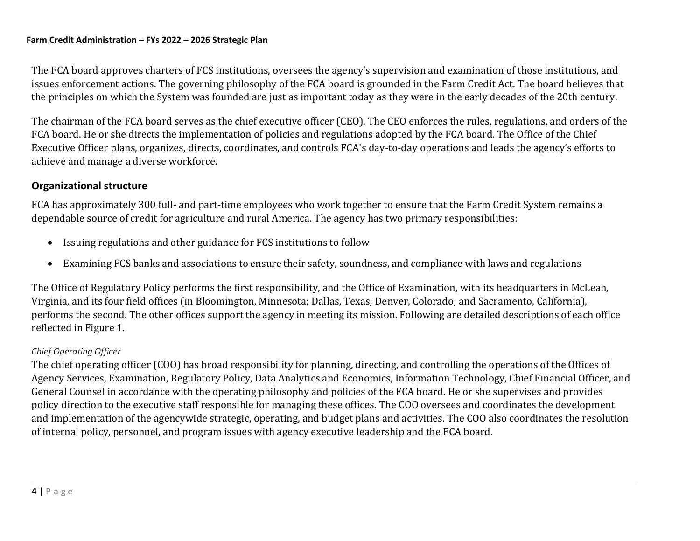The FCA board approves charters of FCS institutions, oversees the agency's supervision and examination of those institutions, and issues enforcement actions. The governing philosophy of the FCA board is grounded in the Farm Credit Act. The board believes that the principles on which the System was founded are just as important today as they were in the early decades of the 20th century.

The chairman of the FCA board serves as the chief executive officer (CEO). The CEO enforces the rules, regulations, and orders of the FCA board. He or she directs the implementation of policies and regulations adopted by the FCA board. The Office of the Chief Executive Officer plans, organizes, directs, coordinates, and controls FCA's day-to-day operations and leads the agency's efforts to achieve and manage a diverse workforce.

# **Organizational structure**

FCA has approximately 300 full- and part-time employees who work together to ensure that the Farm Credit System remains a dependable source of credit for agriculture and rural America. The agency has two primary responsibilities:

- Issuing regulations and other guidance for FCS institutions to follow
- Examining FCS banks and associations to ensure their safety, soundness, and compliance with laws and regulations

The Office of Regulatory Policy performs the first responsibility, and the Office of Examination, with its headquarters in McLean, Virginia, and its four field offices (in Bloomington, Minnesota; Dallas, Texas; Denver, Colorado; and Sacramento, California), performs the second. The other offices support the agency in meeting its mission. Following are detailed descriptions of each office reflected in Figure 1.

# *Chief Operating Officer*

The chief operating officer (COO) has broad responsibility for planning, directing, and controlling the operations of the Offices of Agency Services, Examination, Regulatory Policy, Data Analytics and Economics, Information Technology, Chief Financial Officer, and General Counsel in accordance with the operating philosophy and policies of the FCA board. He or she supervises and provides policy direction to the executive staff responsible for managing these offices. The COO oversees and coordinates the development and implementation of the agencywide strategic, operating, and budget plans and activities. The COO also coordinates the resolution of internal policy, personnel, and program issues with agency executive leadership and the FCA board.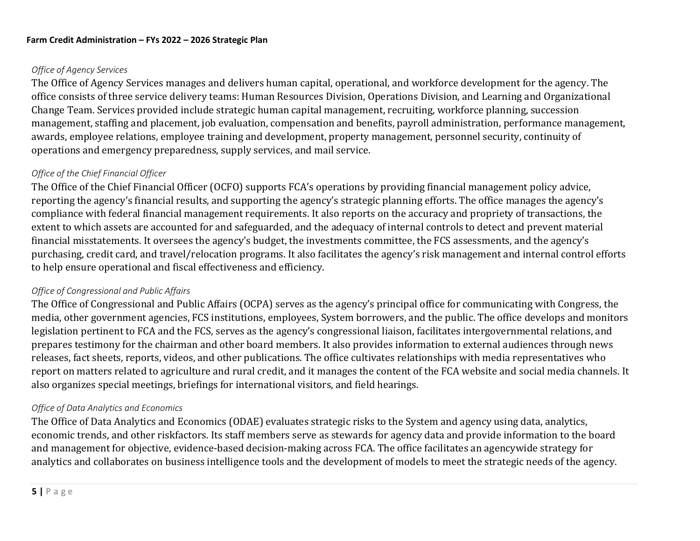### *Office of Agency Services*

The Office of Agency Services manages and delivers human capital, operational, and workforce development for the agency. The office consists of three service delivery teams: Human Resources Division, Operations Division, and Learning and Organizational Change Team. Services provided include strategic human capital management, recruiting, workforce planning, succession management, staffing and placement, job evaluation, compensation and benefits, payroll administration, performance management, awards, employee relations, employee training and development, property management, personnel security, continuity of operations and emergency preparedness, supply services, and mail service.

### *Office of the Chief Financial Officer*

The Office of the Chief Financial Officer (OCFO) supports FCA's operations by providing financial management policy advice, reporting the agency's financial results, and supporting the agency's strategic planning efforts. The office manages the agency's compliance with federal financial management requirements. It also reports on the accuracy and propriety of transactions, the extent to which assets are accounted for and safeguarded, and the adequacy of internal controls to detect and prevent material financial misstatements. It oversees the agency's budget, the investments committee, the FCS assessments, and the agency's purchasing, credit card, and travel/relocation programs. It also facilitates the agency's risk management and internal control efforts to help ensure operational and fiscal effectiveness and efficiency.

#### *Office of Congressional and Public Affairs*

The Office of Congressional and Public Affairs (OCPA) serves as the agency's principal office for communicating with Congress, the media, other government agencies, FCS institutions, employees, System borrowers, and the public. The office develops and monitors legislation pertinent to FCA and the FCS, serves as the agency's congressional liaison, facilitates intergovernmental relations, and prepares testimony for the chairman and other board members. It also provides information to external audiences through news releases, fact sheets, reports, videos, and other publications. The office cultivates relationships with media representatives who report on matters related to agriculture and rural credit, and it manages the content of the FCA website and social media channels. It also organizes special meetings, briefings for international visitors, and field hearings.

#### *Office of Data Analytics and Economics*

The Office of Data Analytics and Economics (ODAE) evaluates strategic risks to the System and agency using data, analytics, economic trends, and other riskfactors. Its staff members serve as stewards for agency data and provide information to the board and management for objective, evidence-based decision-making across FCA. The office facilitates an agencywide strategy for analytics and collaborates on business intelligence tools and the development of models to meet the strategic needs of the agency.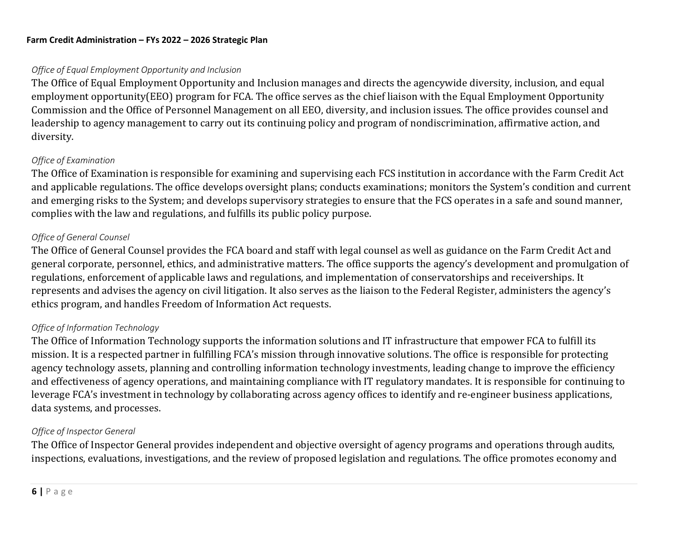### *Office of Equal Employment Opportunity and Inclusion*

The Office of Equal Employment Opportunity and Inclusion manages and directs the agencywide diversity, inclusion, and equal employment opportunity(EEO) program for FCA. The office serves as the chief liaison with the Equal Employment Opportunity Commission and the Office of Personnel Management on all EEO, diversity, and inclusion issues. The office provides counsel and leadership to agency management to carry out its continuing policy and program of nondiscrimination, affirmative action, and diversity.

### *Office of Examination*

The Office of Examination is responsible for examining and supervising each FCS institution in accordance with the Farm Credit Act and applicable regulations. The office develops oversight plans; conducts examinations; monitors the System's condition and current and emerging risks to the System; and develops supervisory strategies to ensure that the FCS operates in a safe and sound manner, complies with the law and regulations, and fulfills its public policy purpose.

### *Office of General Counsel*

The Office of General Counsel provides the FCA board and staff with legal counsel as well as guidance on the Farm Credit Act and general corporate, personnel, ethics, and administrative matters. The office supports the agency's development and promulgation of regulations, enforcement of applicable laws and regulations, and implementation of conservatorships and receiverships. It represents and advises the agency on civil litigation. It also serves as the liaison to the Federal Register, administers the agency's ethics program, and handles Freedom of Information Act requests.

### *Office of Information Technology*

The Office of Information Technology supports the information solutions and IT infrastructure that empower FCA to fulfill its mission. It is a respected partner in fulfilling FCA's mission through innovative solutions. The office is responsible for protecting agency technology assets, planning and controlling information technology investments, leading change to improve the efficiency and effectiveness of agency operations, and maintaining compliance with IT regulatory mandates. It is responsible for continuing to leverage FCA's investment in technology by collaborating across agency offices to identify and re-engineer business applications, data systems, and processes.

### *Office of Inspector General*

The Office of Inspector General provides independent and objective oversight of agency programs and operations through audits, inspections, evaluations, investigations, and the review of proposed legislation and regulations. The office promotes economy and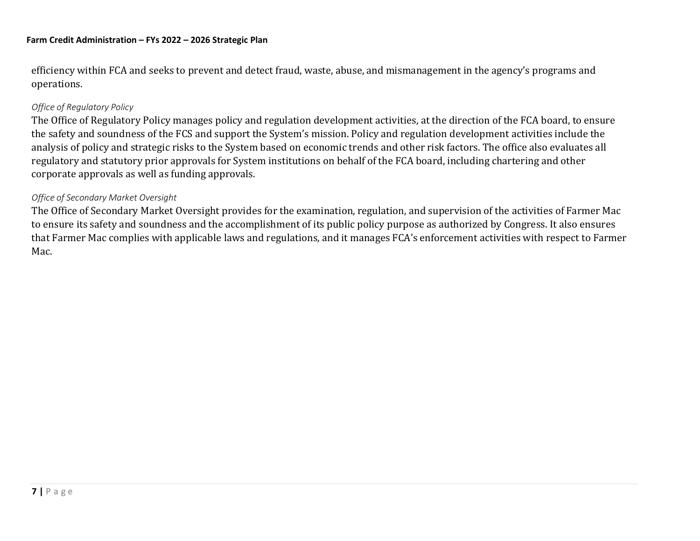efficiency within FCA and seeks to prevent and detect fraud, waste, abuse, and mismanagement in the agency's programs and operations.

#### *Office of Regulatory Policy*

The Office of Regulatory Policy manages policy and regulation development activities, at the direction of the FCA board, to ensure the safety and soundness of the FCS and support the System's mission. Policy and regulation development activities include the analysis of policy and strategic risks to the System based on economic trends and other risk factors. The office also evaluates all regulatory and statutory prior approvals for System institutions on behalf of the FCA board, including chartering and other corporate approvals as well as funding approvals.

#### *Office of Secondary Market Oversight*

The Office of Secondary Market Oversight provides for the examination, regulation, and supervision of the activities of Farmer Mac to ensure its safety and soundness and the accomplishment of its public policy purpose as authorized by Congress. It also ensures that Farmer Mac complies with applicable laws and regulations, and it manages FCA's enforcement activities with respect to Farmer Mac.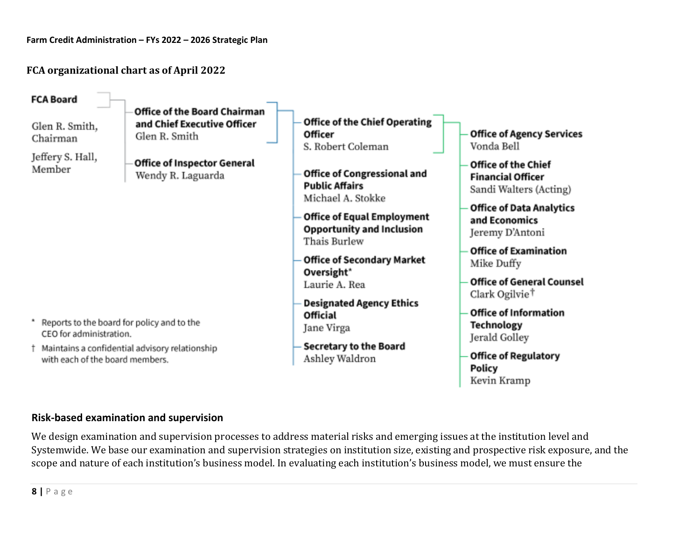**FCA organizational chart as of April 2022**

| <b>FCA Board</b>                                                                                         |                                                                                     |                                                                                                                                                                                                                                 |                                                                                                                                                                                                                                           |
|----------------------------------------------------------------------------------------------------------|-------------------------------------------------------------------------------------|---------------------------------------------------------------------------------------------------------------------------------------------------------------------------------------------------------------------------------|-------------------------------------------------------------------------------------------------------------------------------------------------------------------------------------------------------------------------------------------|
| Glen R. Smith,<br>Chairman                                                                               | <b>Office of the Board Chairman</b><br>and Chief Executive Officer<br>Glen R. Smith | Office of the Chief Operating<br><b>Officer</b><br>S. Robert Coleman                                                                                                                                                            | <b>Office of Agency Services</b><br>Vonda Bell                                                                                                                                                                                            |
| Jeffery S. Hall,<br>Member                                                                               | <b>Office of Inspector General</b><br>Wendy R. Laguarda                             | Office of Congressional and<br><b>Public Affairs</b><br>Michael A. Stokke<br><b>Office of Equal Employment</b><br><b>Opportunity and Inclusion</b><br>Thais Burlew<br>Office of Secondary Market<br>Oversight*<br>Laurie A. Rea | <b>Office of the Chief</b><br><b>Financial Officer</b><br>Sandi Walters (Acting)<br><b>Office of Data Analytics</b><br>and Economics<br>Jeremy D'Antoni<br><b>Office of Examination</b><br>Mike Duffy<br><b>Office of General Counsel</b> |
| Reports to the board for policy and to the<br>CEO for administration.<br>with each of the board members. | † Maintains a confidential advisory relationship                                    | <b>Designated Agency Ethics</b><br><b>Official</b><br>Jane Virga<br><b>Secretary to the Board</b><br>Ashley Waldron                                                                                                             | Clark Ogilvie <sup>†</sup><br><b>Office of Information</b><br><b>Technology</b><br>Jerald Golley<br><b>Office of Regulatory</b><br>Policy<br>Kevin Kramp                                                                                  |

# **Risk-based examination and supervision**

We design examination and supervision processes to address material risks and emerging issues at the institution level and Systemwide. We base our examination and supervision strategies on institution size, existing and prospective risk exposure, and the scope and nature of each institution's business model. In evaluating each institution's business model, we must ensure the

**8 |** P a g e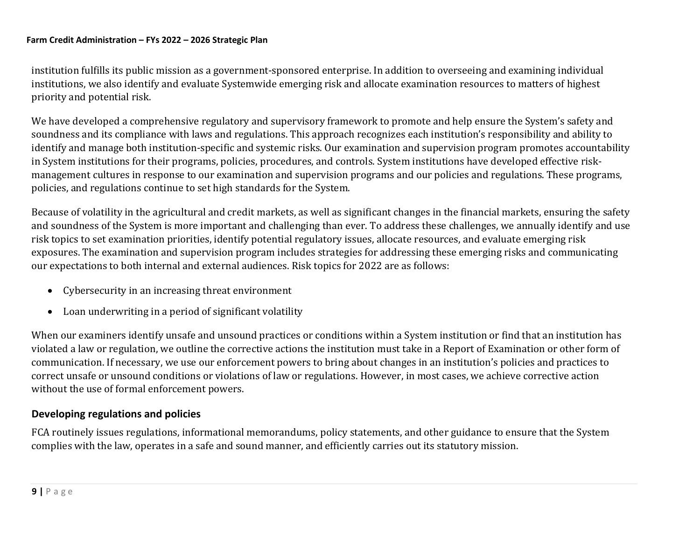institution fulfills its public mission as a government-sponsored enterprise. In addition to overseeing and examining individual institutions, we also identify and evaluate Systemwide emerging risk and allocate examination resources to matters of highest priority and potential risk.

We have developed a comprehensive regulatory and supervisory framework to promote and help ensure the System's safety and soundness and its compliance with laws and regulations. This approach recognizes each institution's responsibility and ability to identify and manage both institution-specific and systemic risks. Our examination and supervision program promotes accountability in System institutions for their programs, policies, procedures, and controls. System institutions have developed effective riskmanagement cultures in response to our examination and supervision programs and our policies and regulations. These programs, policies, and regulations continue to set high standards for the System.

Because of volatility in the agricultural and credit markets, as well as significant changes in the financial markets, ensuring the safety and soundness of the System is more important and challenging than ever. To address these challenges, we annually identify and use risk topics to set examination priorities, identify potential regulatory issues, allocate resources, and evaluate emerging risk exposures. The examination and supervision program includes strategies for addressing these emerging risks and communicating our expectations to both internal and external audiences. Risk topics for 2022 are as follows:

- Cybersecurity in an increasing threat environment
- Loan underwriting in a period of significant volatility

When our examiners identify unsafe and unsound practices or conditions within a System institution or find that an institution has violated a law or regulation, we outline the corrective actions the institution must take in a Report of Examination or other form of communication. If necessary, we use our enforcement powers to bring about changes in an institution's policies and practices to correct unsafe or unsound conditions or violations of law or regulations. However, in most cases, we achieve corrective action without the use of formal enforcement powers.

### **Developing regulations and policies**

FCA routinely issues regulations, informational memorandums, policy statements, and other guidance to ensure that the System complies with the law, operates in a safe and sound manner, and efficiently carries out its statutory mission.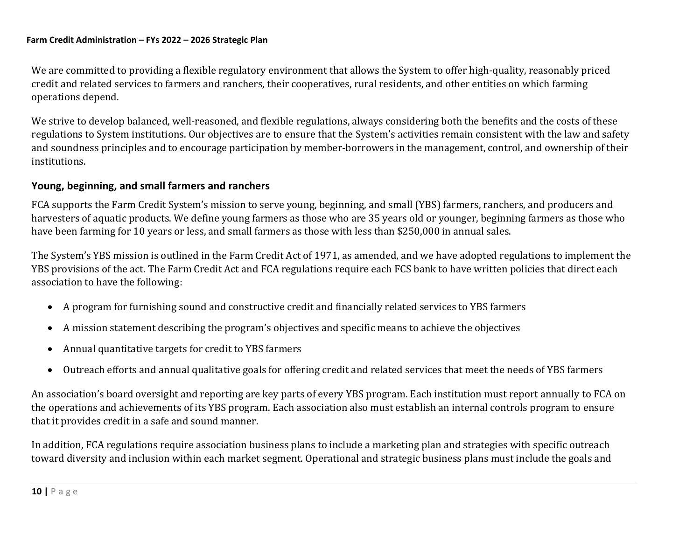We are committed to providing a flexible regulatory environment that allows the System to offer high-quality, reasonably priced credit and related services to farmers and ranchers, their cooperatives, rural residents, and other entities on which farming operations depend.

We strive to develop balanced, well-reasoned, and flexible regulations, always considering both the benefits and the costs of these regulations to System institutions. Our objectives are to ensure that the System's activities remain consistent with the law and safety and soundness principles and to encourage participation by member-borrowers in the management, control, and ownership of their institutions.

## **Young, beginning, and small farmers and ranchers**

FCA supports the Farm Credit System's mission to serve young, beginning, and small (YBS) farmers, ranchers, and producers and harvesters of aquatic products. We define young farmers as those who are 35 years old or younger, beginning farmers as those who have been farming for 10 years or less, and small farmers as those with less than \$250,000 in annual sales.

The System's YBS mission is outlined in the Farm Credit Act of 1971, as amended, and we have adopted regulations to implement the YBS provisions of the act. The Farm Credit Act and FCA regulations require each FCS bank to have written policies that direct each association to have the following:

- A program for furnishing sound and constructive credit and financially related services to YBS farmers
- A mission statement describing the program's objectives and specific means to achieve the objectives
- Annual quantitative targets for credit to YBS farmers
- Outreach efforts and annual qualitative goals for offering credit and related services that meet the needs of YBS farmers

An association's board oversight and reporting are key parts of every YBS program. Each institution must report annually to FCA on the operations and achievements of its YBS program. Each association also must establish an internal controls program to ensure that it provides credit in a safe and sound manner.

In addition, FCA regulations require association business plans to include a marketing plan and strategies with specific outreach toward diversity and inclusion within each market segment. Operational and strategic business plans must include the goals and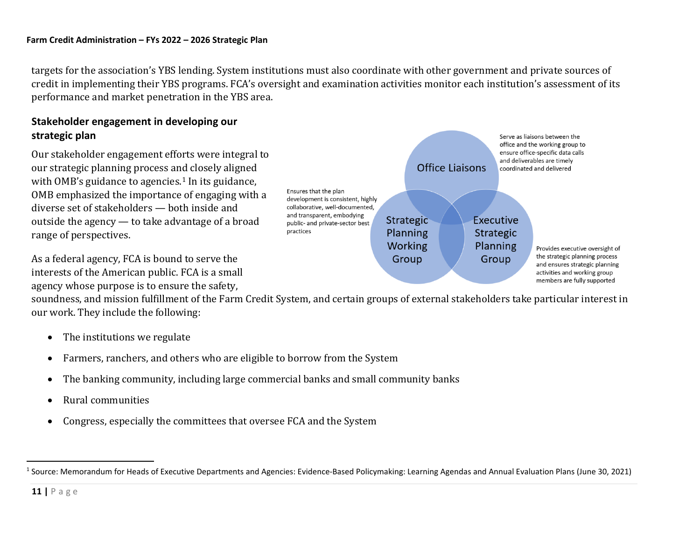targets for the association's YBS lending. System institutions must also coordinate with other government and private sources of credit in implementing their YBS programs. FCA's oversight and examination activities monitor each institution's assessment of its performance and market penetration in the YBS area.

# **Stakeholder engagement in developing our strategic plan**

Our stakeholder engagement efforts were integral to our strategic planning process and closely aligned with OMB's guidance to agencies.<sup>1</sup> In its guidance, OMB emphasized the importance of engaging with a diverse set of stakeholders — both inside and outside the agency — to take advantage of a broad range of perspectives.

As a federal agency, FCA is bound to serve the interests of the American public. FCA is a small agency whose purpose is to ensure the safety,

<span id="page-10-0"></span>

soundness, and mission fulfillment of the Farm Credit System, and certain groups of external stakeholders take particular interest in our work. They include the following:

- The institutions we regulate
- Farmers, ranchers, and others who are eligible to borrow from the System
- The banking community, including large commercial banks and small community banks
- Rural communities
- Congress, especially the committees that oversee FCA and the System

<sup>&</sup>lt;sup>1</sup> Source: Memorandum for Heads of Executive Departments and Agencies: Evidence-Based Policymaking: Learning Agendas and Annual Evaluation Plans (June 30, 2021)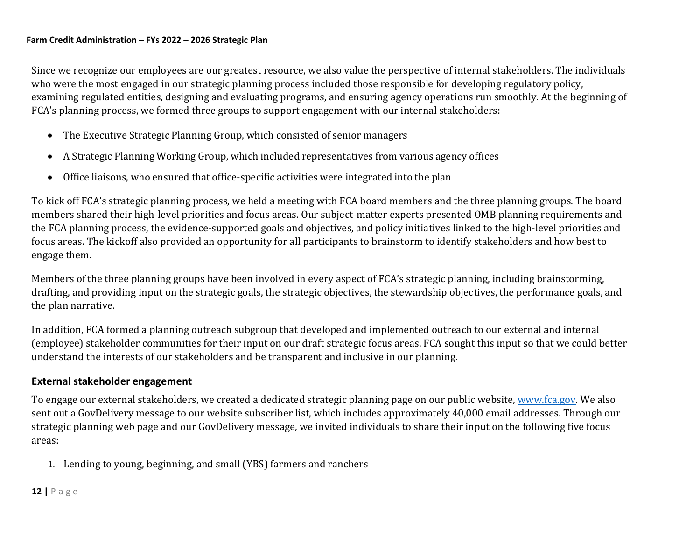Since we recognize our employees are our greatest resource, we also value the perspective of internal stakeholders. The individuals who were the most engaged in our strategic planning process included those responsible for developing regulatory policy, examining regulated entities, designing and evaluating programs, and ensuring agency operations run smoothly. At the beginning of FCA's planning process, we formed three groups to support engagement with our internal stakeholders:

- <span id="page-11-0"></span>• The Executive Strategic Planning Group, which consisted of senior managers
- A Strategic Planning Working Group, which included representatives from various agency offices
- Office liaisons, who ensured that office-specific activities were integrated into the plan

To kick off FCA's strategic planning process, we held a meeting with FCA board members and the three planning groups. The board members shared their high-level priorities and focus areas. Our subject-matter experts presented OMB planning requirements and the FCA planning process, the evidence-supported goals and objectives, and policy initiatives linked to the high-level priorities and focus areas. The kickoff also provided an opportunity for all participants to brainstorm to identify stakeholders and how best to engage them.

Members of the three planning groups have been involved in every aspect of FCA's strategic planning, including brainstorming, drafting, and providing input on the strategic goals, the strategic objectives, the stewardship objectives, the performance goals, and the plan narrative.

In addition, FCA formed a planning outreach subgroup that developed and implemented outreach to our external and internal (employee) stakeholder communities for their input on our draft strategic focus areas. FCA sought this input so that we could better understand the interests of our stakeholders and be transparent and inclusive in our planning.

# **External stakeholder engagement**

To engage our external stakeholders, we created a dedicated strategic planning page on our public website[, www.fca.gov.](http://www.fca.gov/) We also sent out a GovDelivery message to our website subscriber list, which includes approximately 40,000 email addresses. Through our strategic planning web page and our GovDelivery message, we invited individuals to share their input on the following five focus areas:

1. Lending to young, beginning, and small (YBS) farmers and ranchers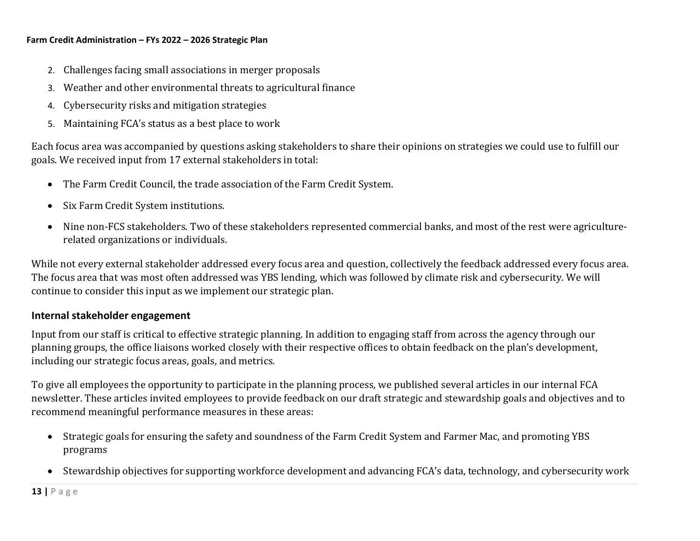- 2. Challenges facing small associations in merger proposals
- 3. Weather and other environmental threats to agricultural finance
- 4. Cybersecurity risks and mitigation strategies
- 5. Maintaining FCA's status as a best place to work

Each focus area was accompanied by questions asking stakeholders to share their opinions on strategies we could use to fulfill our goals. We received input from 17 external stakeholders in total:

- The Farm Credit Council, the trade association of the Farm Credit System.
- Six Farm Credit System institutions.
- Nine non-FCS stakeholders. Two of these stakeholders represented commercial banks, and most of the rest were agriculturerelated organizations or individuals.

While not every external stakeholder addressed every focus area and question, collectively the feedback addressed every focus area. The focus area that was most often addressed was YBS lending, which was followed by climate risk and cybersecurity. We will continue to consider this input as we implement our strategic plan.

### **Internal stakeholder engagement**

Input from our staff is critical to effective strategic planning. In addition to engaging staff from across the agency through our planning groups, the office liaisons worked closely with their respective offices to obtain feedback on the plan's development, including our strategic focus areas, goals, and metrics.

To give all employees the opportunity to participate in the planning process, we published several articles in our internal FCA newsletter. These articles invited employees to provide feedback on our draft strategic and stewardship goals and objectives and to recommend meaningful performance measures in these areas:

- Strategic goals for ensuring the safety and soundness of the Farm Credit System and Farmer Mac, and promoting YBS programs
- Stewardship objectives for supporting workforce development and advancing FCA's data, technology, and cybersecurity work

**13 |** P a g e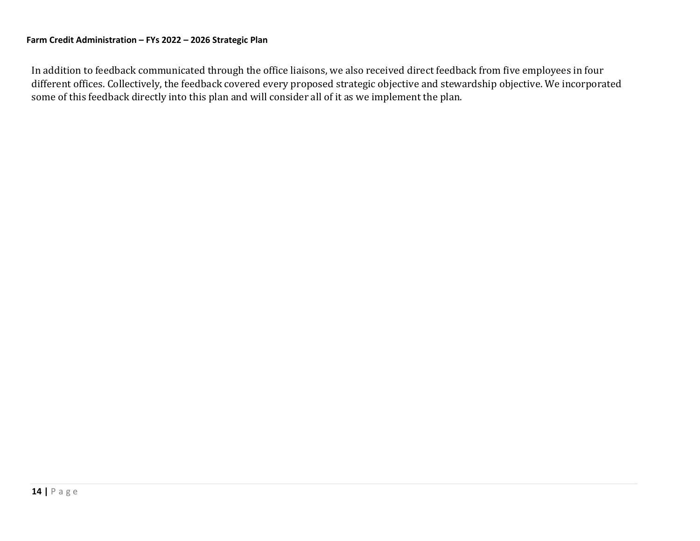In addition to feedback communicated through the office liaisons, we also received direct feedback from five employees in four different offices. Collectively, the feedback covered every proposed strategic objective and stewardship objective. We incorporated some of this feedback directly into this plan and will consider all of it as we implement the plan.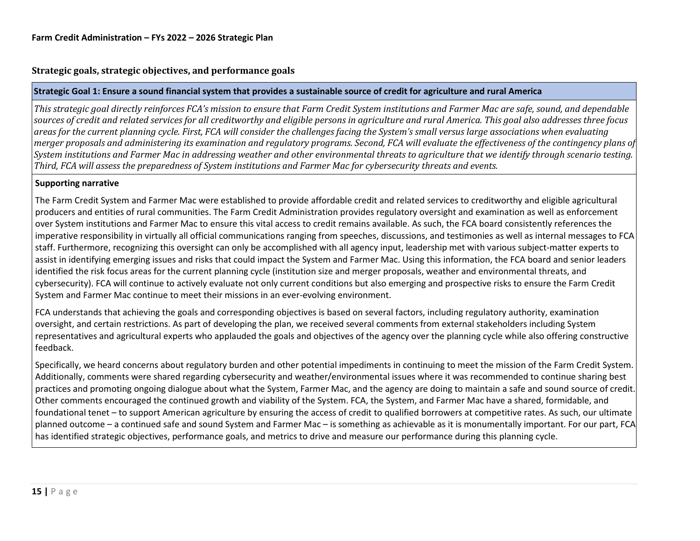### **Strategic goals, strategic objectives, and performance goals**

#### **Strategic Goal 1: Ensure a sound financial system that provides a sustainable source of credit for agriculture and rural America**

*This strategic goal directly reinforces FCA's mission to ensure that Farm Credit System institutions and Farmer Mac are safe, sound, and dependable sources of credit and related services for all creditworthy and eligible persons in agriculture and rural America. This goal also addresses three focus areas for the current planning cycle. First, FCA will consider the challenges facing the System's small versus large associations when evaluating merger proposals and administering its examination and regulatory programs. Second, FCA will evaluate the effectiveness of the contingency plans of System institutions and Farmer Mac in addressing weather and other environmental threats to agriculture that we identify through scenario testing. Third, FCA will assess the preparedness of System institutions and Farmer Mac for cybersecurity threats and events.*

#### **Supporting narrative**

The Farm Credit System and Farmer Mac were established to provide affordable credit and related services to creditworthy and eligible agricultural producers and entities of rural communities. The Farm Credit Administration provides regulatory oversight and examination as well as enforcement over System institutions and Farmer Mac to ensure this vital access to credit remains available. As such, the FCA board consistently references the imperative responsibility in virtually all official communications ranging from speeches, discussions, and testimonies as well as internal messages to FCA staff. Furthermore, recognizing this oversight can only be accomplished with all agency input, leadership met with various subject-matter experts to assist in identifying emerging issues and risks that could impact the System and Farmer Mac. Using this information, the FCA board and senior leaders identified the risk focus areas for the current planning cycle (institution size and merger proposals, weather and environmental threats, and cybersecurity). FCA will continue to actively evaluate not only current conditions but also emerging and prospective risks to ensure the Farm Credit System and Farmer Mac continue to meet their missions in an ever-evolving environment.

FCA understands that achieving the goals and corresponding objectives is based on several factors, including regulatory authority, examination oversight, and certain restrictions. As part of developing the plan, we received several comments from external stakeholders including System representatives and agricultural experts who applauded the goals and objectives of the agency over the planning cycle while also offering constructive feedback.

Specifically, we heard concerns about regulatory burden and other potential impediments in continuing to meet the mission of the Farm Credit System. Additionally, comments were shared regarding cybersecurity and weather/environmental issues where it was recommended to continue sharing best practices and promoting ongoing dialogue about what the System, Farmer Mac, and the agency are doing to maintain a safe and sound source of credit. Other comments encouraged the continued growth and viability of the System. FCA, the System, and Farmer Mac have a shared, formidable, and foundational tenet – to support American agriculture by ensuring the access of credit to qualified borrowers at competitive rates. As such, our ultimate planned outcome – a continued safe and sound System and Farmer Mac – is something as achievable as it is monumentally important. For our part, FCA has identified strategic objectives, performance goals, and metrics to drive and measure our performance during this planning cycle.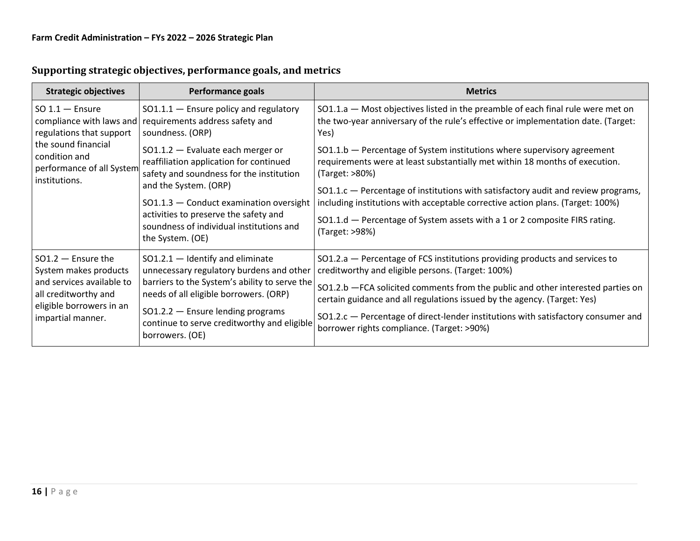| <b>Strategic objectives</b>                                                        | <b>Performance goals</b>                                                                                                                            | <b>Metrics</b>                                                                                                                                                               |
|------------------------------------------------------------------------------------|-----------------------------------------------------------------------------------------------------------------------------------------------------|------------------------------------------------------------------------------------------------------------------------------------------------------------------------------|
| $SO 1.1 -$ Ensure<br>compliance with laws and<br>regulations that support          | $SO1.1.1$ - Ensure policy and regulatory<br>requirements address safety and<br>soundness. (ORP)                                                     | SO1.1.a - Most objectives listed in the preamble of each final rule were met on<br>the two-year anniversary of the rule's effective or implementation date. (Target:<br>Yes) |
| the sound financial<br>condition and<br>performance of all System<br>institutions. | $SO1.1.2$ - Evaluate each merger or<br>reaffiliation application for continued<br>safety and soundness for the institution<br>and the System. (ORP) | $SO1.1.b$ – Percentage of System institutions where supervisory agreement<br>requirements were at least substantially met within 18 months of execution.<br>(Target: >80%)   |
|                                                                                    | SO1.1.3 - Conduct examination oversight                                                                                                             | SO1.1.c - Percentage of institutions with satisfactory audit and review programs,<br>including institutions with acceptable corrective action plans. (Target: 100%)          |
|                                                                                    | activities to preserve the safety and<br>soundness of individual institutions and<br>the System. (OE)                                               | SO1.1.d - Percentage of System assets with a 1 or 2 composite FIRS rating.<br>(Target: >98%)                                                                                 |
| $SO1.2$ - Ensure the<br>System makes products                                      | $SO1.2.1$ - Identify and eliminate<br>unnecessary regulatory burdens and other                                                                      | SO1.2.a - Percentage of FCS institutions providing products and services to<br>creditworthy and eligible persons. (Target: 100%)                                             |
| and services available to<br>all creditworthy and                                  | barriers to the System's ability to serve the<br>needs of all eligible borrowers. (ORP)                                                             | SO1.2.b - FCA solicited comments from the public and other interested parties on<br>certain guidance and all regulations issued by the agency. (Target: Yes)                 |
| eligible borrowers in an<br>impartial manner.                                      | $SO1.2.2$ - Ensure lending programs<br>continue to serve creditworthy and eligible<br>borrowers. (OE)                                               | SO1.2.c - Percentage of direct-lender institutions with satisfactory consumer and<br>borrower rights compliance. (Target: >90%)                                              |

# **Supporting strategic objectives, performance goals, and metrics**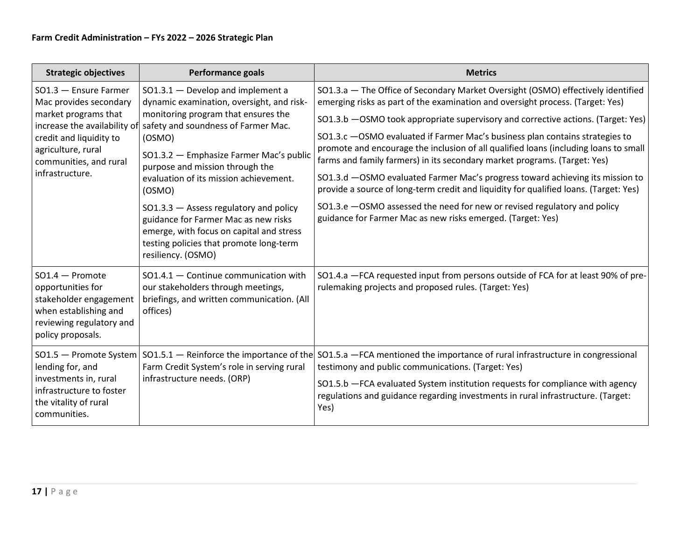| <b>Strategic objectives</b>                                                                                                                        | <b>Performance goals</b>                                                                                                                                                                                                                                                                                                                                                                                                | <b>Metrics</b>                                                                                                                                                                                                                                                                                                                                                                                                                                                                                                                                                                                                                                               |
|----------------------------------------------------------------------------------------------------------------------------------------------------|-------------------------------------------------------------------------------------------------------------------------------------------------------------------------------------------------------------------------------------------------------------------------------------------------------------------------------------------------------------------------------------------------------------------------|--------------------------------------------------------------------------------------------------------------------------------------------------------------------------------------------------------------------------------------------------------------------------------------------------------------------------------------------------------------------------------------------------------------------------------------------------------------------------------------------------------------------------------------------------------------------------------------------------------------------------------------------------------------|
| SO1.3 - Ensure Farmer<br>Mac provides secondary                                                                                                    | $SO1.3.1 - Develop and implement a$<br>dynamic examination, oversight, and risk-                                                                                                                                                                                                                                                                                                                                        | SO1.3.a - The Office of Secondary Market Oversight (OSMO) effectively identified<br>emerging risks as part of the examination and oversight process. (Target: Yes)                                                                                                                                                                                                                                                                                                                                                                                                                                                                                           |
| market programs that<br>increase the availability of<br>credit and liquidity to<br>agriculture, rural<br>communities, and rural<br>infrastructure. | monitoring program that ensures the<br>safety and soundness of Farmer Mac.<br>(OSMO)<br>SO1.3.2 - Emphasize Farmer Mac's public<br>purpose and mission through the<br>evaluation of its mission achievement.<br>(OSMO)<br>$SO1.3.3$ - Assess regulatory and policy<br>guidance for Farmer Mac as new risks<br>emerge, with focus on capital and stress<br>testing policies that promote long-term<br>resiliency. (OSMO) | SO1.3.b - OSMO took appropriate supervisory and corrective actions. (Target: Yes)<br>SO1.3.c -OSMO evaluated if Farmer Mac's business plan contains strategies to<br>promote and encourage the inclusion of all qualified loans (including loans to small<br>farms and family farmers) in its secondary market programs. (Target: Yes)<br>SO1.3.d -OSMO evaluated Farmer Mac's progress toward achieving its mission to<br>provide a source of long-term credit and liquidity for qualified loans. (Target: Yes)<br>SO1.3.e - OSMO assessed the need for new or revised regulatory and policy<br>guidance for Farmer Mac as new risks emerged. (Target: Yes) |
| $SO1.4 -$ Promote<br>opportunities for<br>stakeholder engagement<br>when establishing and<br>reviewing regulatory and<br>policy proposals.         | $SO1.4.1 -$ Continue communication with<br>our stakeholders through meetings,<br>briefings, and written communication. (All<br>offices)                                                                                                                                                                                                                                                                                 | SO1.4.a - FCA requested input from persons outside of FCA for at least 90% of pre-<br>rulemaking projects and proposed rules. (Target: Yes)                                                                                                                                                                                                                                                                                                                                                                                                                                                                                                                  |
| SO1.5 - Promote System<br>lending for, and<br>investments in, rural<br>infrastructure to foster<br>the vitality of rural<br>communities.           | $S$ O1.5.1 – Reinforce the importance of the<br>Farm Credit System's role in serving rural<br>infrastructure needs. (ORP)                                                                                                                                                                                                                                                                                               | SO1.5.a - FCA mentioned the importance of rural infrastructure in congressional<br>testimony and public communications. (Target: Yes)<br>SO1.5.b - FCA evaluated System institution requests for compliance with agency<br>regulations and guidance regarding investments in rural infrastructure. (Target:<br>Yes)                                                                                                                                                                                                                                                                                                                                          |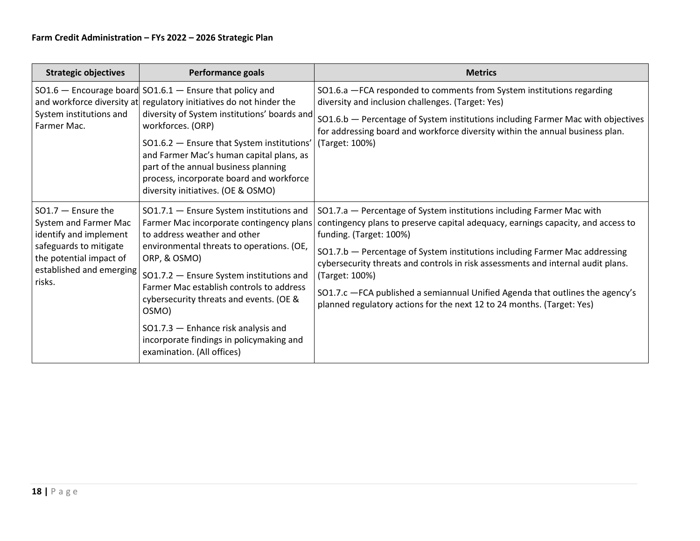| <b>Strategic objectives</b>                                                                                                                                        | <b>Performance goals</b>                                                                                                                                                                                                                                                                                                                                                                                                                       | <b>Metrics</b>                                                                                                                                                                                                                                                                                                                                                                                                                                                                                                                        |
|--------------------------------------------------------------------------------------------------------------------------------------------------------------------|------------------------------------------------------------------------------------------------------------------------------------------------------------------------------------------------------------------------------------------------------------------------------------------------------------------------------------------------------------------------------------------------------------------------------------------------|---------------------------------------------------------------------------------------------------------------------------------------------------------------------------------------------------------------------------------------------------------------------------------------------------------------------------------------------------------------------------------------------------------------------------------------------------------------------------------------------------------------------------------------|
| System institutions and<br>Farmer Mac.                                                                                                                             | $SO1.6$ - Encourage board $SO1.6.1$ - Ensure that policy and<br>and workforce diversity at regulatory initiatives do not hinder the<br>diversity of System institutions' boards and<br>workforces. (ORP)<br>SO1.6.2 - Ensure that System institutions'<br>and Farmer Mac's human capital plans, as<br>part of the annual business planning<br>process, incorporate board and workforce<br>diversity initiatives. (OE & OSMO)                   | SO1.6.a - FCA responded to comments from System institutions regarding<br>diversity and inclusion challenges. (Target: Yes)<br>SO1.6.b - Percentage of System institutions including Farmer Mac with objectives<br>for addressing board and workforce diversity within the annual business plan.<br>(Target: 100%)                                                                                                                                                                                                                    |
| $SO1.7$ - Ensure the<br>System and Farmer Mac<br>identify and implement<br>safeguards to mitigate<br>the potential impact of<br>established and emerging<br>risks. | SO1.7.1 - Ensure System institutions and<br>Farmer Mac incorporate contingency plans<br>to address weather and other<br>environmental threats to operations. (OE,<br>ORP, & OSMO)<br>SO1.7.2 - Ensure System institutions and<br>Farmer Mac establish controls to address<br>cybersecurity threats and events. (OE &<br>OSMO)<br>SO1.7.3 - Enhance risk analysis and<br>incorporate findings in policymaking and<br>examination. (All offices) | SO1.7.a - Percentage of System institutions including Farmer Mac with<br>contingency plans to preserve capital adequacy, earnings capacity, and access to<br>funding. (Target: 100%)<br>SO1.7.b - Percentage of System institutions including Farmer Mac addressing<br>cybersecurity threats and controls in risk assessments and internal audit plans.<br>(Target: 100%)<br>SO1.7.c - FCA published a semiannual Unified Agenda that outlines the agency's<br>planned regulatory actions for the next 12 to 24 months. (Target: Yes) |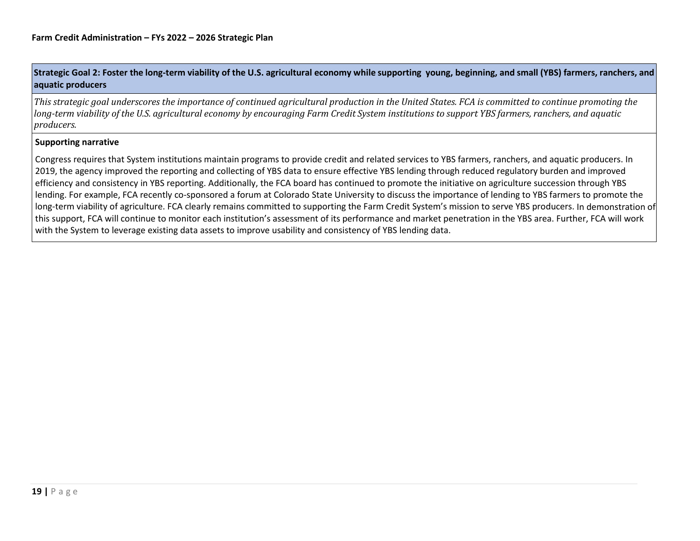### Strategic Goal 2: Foster the long-term viability of the U.S. agricultural economy while supporting young, beginning, and small (YBS) farmers, ranchers, and **aquatic producers**

*This strategic goal underscores the importance of continued agricultural production in the United States. FCA is committed to continue promoting the* long-term viability of the U.S. agricultural economy by encouraging Farm Credit System institutions to support YBS farmers, ranchers, and aguatic *producers.*

#### **Supporting narrative**

Congress requires that System institutions maintain programs to provide credit and related services to YBS farmers, ranchers, and aquatic producers. In 2019, the agency improved the reporting and collecting of YBS data to ensure effective YBS lending through reduced regulatory burden and improved efficiency and consistency in YBS reporting. Additionally, the FCA board has continued to promote the initiative on agriculture succession through YBS lending. For example, FCA recently co-sponsored a forum at Colorado State University to discuss the importance of lending to YBS farmers to promote the long-term viability of agriculture. FCA clearly remains committed to supporting the Farm Credit System's mission to serve YBS producers. In demonstration of this support, FCA will continue to monitor each institution's assessment of its performance and market penetration in the YBS area. Further, FCA will work with the System to leverage existing data assets to improve usability and consistency of YBS lending data.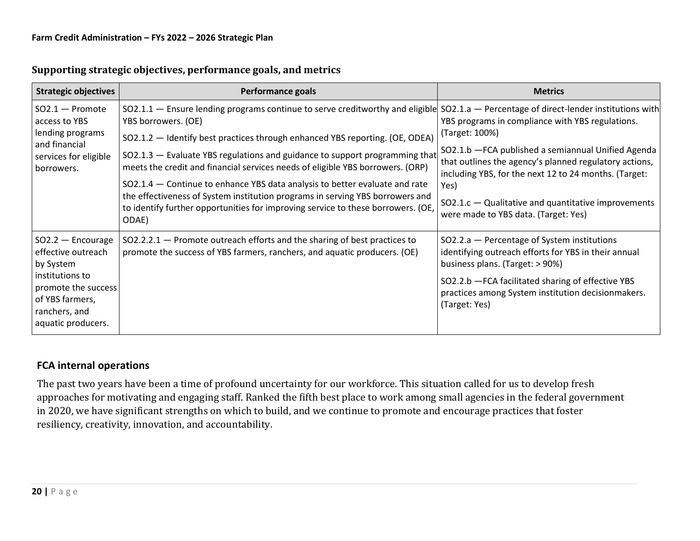| <b>Strategic objectives</b>                                                                                                                                | <b>Performance goals</b>                                                                                                                                                                                                                     | <b>Metrics</b>                                                                                                                                                                                                                                                      |
|------------------------------------------------------------------------------------------------------------------------------------------------------------|----------------------------------------------------------------------------------------------------------------------------------------------------------------------------------------------------------------------------------------------|---------------------------------------------------------------------------------------------------------------------------------------------------------------------------------------------------------------------------------------------------------------------|
| $SO2.1 -$ Promote<br>access to YBS<br>lending programs                                                                                                     | SO2.1.1 - Ensure lending programs continue to serve creditworthy and eligible<br>YBS borrowers. (OE)<br>SO2.1.2 - Identify best practices through enhanced YBS reporting. (OE, ODEA)                                                         | $SO2.1.a$ – Percentage of direct-lender institutions with<br>YBS programs in compliance with YBS regulations.<br>(Target: 100%)                                                                                                                                     |
| and financial<br>services for eligible<br>borrowers.                                                                                                       | SO2.1.3 - Evaluate YBS regulations and guidance to support programming that<br>meets the credit and financial services needs of eligible YBS borrowers. (ORP)<br>SO2.1.4 – Continue to enhance YBS data analysis to better evaluate and rate | SO2.1.b - FCA published a semiannual Unified Agenda<br>that outlines the agency's planned regulatory actions,<br>including YBS, for the next 12 to 24 months. (Target:<br>Yes)                                                                                      |
|                                                                                                                                                            | the effectiveness of System institution programs in serving YBS borrowers and<br>to identify further opportunities for improving service to these borrowers. (OE,<br>ODAE)                                                                   | $SO2.1.c - Qualitative and quantitative improvements$<br>were made to YBS data. (Target: Yes)                                                                                                                                                                       |
| $SO2.2 -$ Encourage<br>effective outreach<br>by System<br>institutions to<br>promote the success<br>of YBS farmers,<br>ranchers, and<br>aquatic producers. | $SO2.2.2.1$ – Promote outreach efforts and the sharing of best practices to<br>promote the success of YBS farmers, ranchers, and aquatic producers. (OE)                                                                                     | SO2.2.a - Percentage of System institutions<br>identifying outreach efforts for YBS in their annual<br>business plans. (Target: > 90%)<br>SO2.2.b - FCA facilitated sharing of effective YBS<br>practices among System institution decisionmakers.<br>(Target: Yes) |

# **Supporting strategic objectives, performance goals, and metrics**

# **FCA internal operations**

The past two years have been a time of profound uncertainty for our workforce. This situation called for us to develop fresh approaches for motivating and engaging staff. Ranked the fifth best place to work among small agencies in the federal government in 2020, we have significant strengths on which to build, and we continue to promote and encourage practices that foster resiliency, creativity, innovation, and accountability.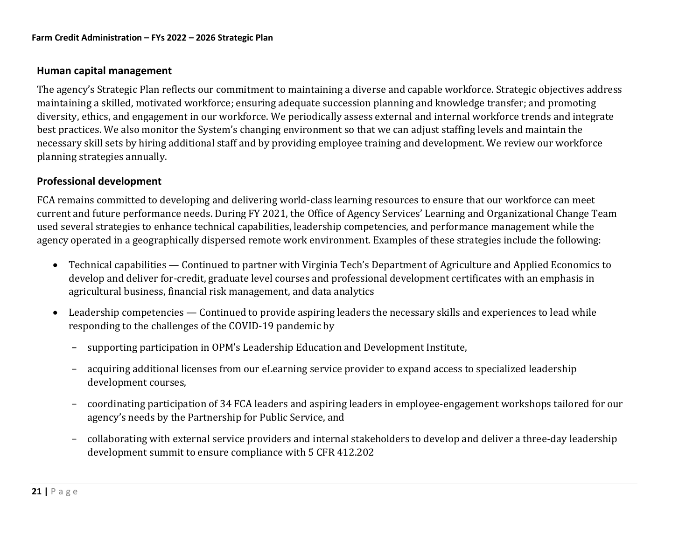### **Human capital management**

The agency's Strategic Plan reflects our commitment to maintaining a diverse and capable workforce. Strategic objectives address maintaining a skilled, motivated workforce; ensuring adequate succession planning and knowledge transfer; and promoting diversity, ethics, and engagement in our workforce. We periodically assess external and internal workforce trends and integrate best practices. We also monitor the System's changing environment so that we can adjust staffing levels and maintain the necessary skill sets by hiring additional staff and by providing employee training and development. We review our workforce planning strategies annually.

### **Professional development**

FCA remains committed to developing and delivering world-class learning resources to ensure that our workforce can meet current and future performance needs. During FY 2021, the Office of Agency Services' Learning and Organizational Change Team used several strategies to enhance technical capabilities, leadership competencies, and performance management while the agency operated in a geographically dispersed remote work environment. Examples of these strategies include the following:

- Technical capabilities Continued to partner with Virginia Tech's Department of Agriculture and Applied Economics to develop and deliver for-credit, graduate level courses and professional development certificates with an emphasis in agricultural business, financial risk management, and data analytics
- Leadership competencies Continued to provide aspiring leaders the necessary skills and experiences to lead while responding to the challenges of the COVID-19 pandemic by
	- − supporting participation in OPM's Leadership Education and Development Institute,
	- − acquiring additional licenses from our eLearning service provider to expand access to specialized leadership development courses,
	- − coordinating participation of 34 FCA leaders and aspiring leaders in employee-engagement workshops tailored for our agency's needs by the Partnership for Public Service, and
	- − collaborating with external service providers and internal stakeholders to develop and deliver a three-day leadership development summit to ensure compliance with 5 CFR 412.202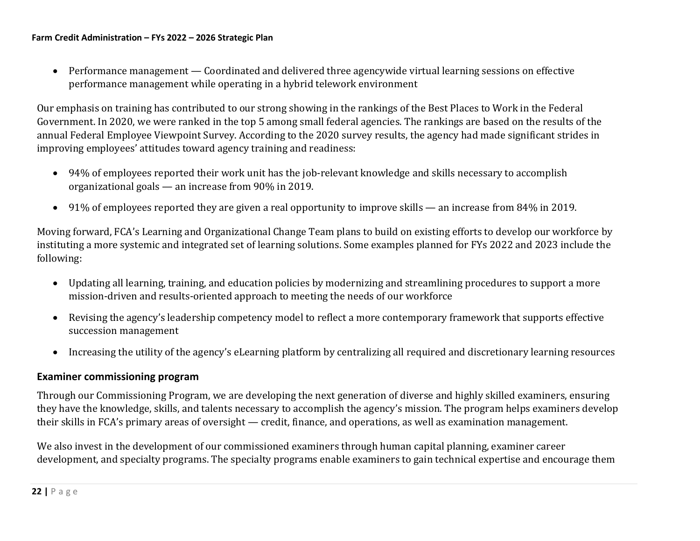• Performance management — Coordinated and delivered three agencywide virtual learning sessions on effective performance management while operating in a hybrid telework environment

Our emphasis on training has contributed to our strong showing in the rankings of the Best Places to Work in the Federal Government. In 2020, we were ranked in the top 5 among small federal agencies. The rankings are based on the results of the annual Federal Employee Viewpoint Survey. According to the 2020 survey results, the agency had made significant strides in improving employees' attitudes toward agency training and readiness:

- 94% of employees reported their work unit has the job-relevant knowledge and skills necessary to accomplish organizational goals — an increase from 90% in 2019.
- 91% of employees reported they are given a real opportunity to improve skills an increase from 84% in 2019.

Moving forward, FCA's Learning and Organizational Change Team plans to build on existing efforts to develop our workforce by instituting a more systemic and integrated set of learning solutions. Some examples planned for FYs 2022 and 2023 include the following:

- Updating all learning, training, and education policies by modernizing and streamlining procedures to support a more mission-driven and results-oriented approach to meeting the needs of our workforce
- Revising the agency's leadership competency model to reflect a more contemporary framework that supports effective succession management
- Increasing the utility of the agency's eLearning platform by centralizing all required and discretionary learning resources

### **Examiner commissioning program**

Through our Commissioning Program, we are developing the next generation of diverse and highly skilled examiners, ensuring they have the knowledge, skills, and talents necessary to accomplish the agency's mission. The program helps examiners develop their skills in FCA's primary areas of oversight — credit, finance, and operations, as well as examination management.

We also invest in the development of our commissioned examiners through human capital planning, examiner career development, and specialty programs. The specialty programs enable examiners to gain technical expertise and encourage them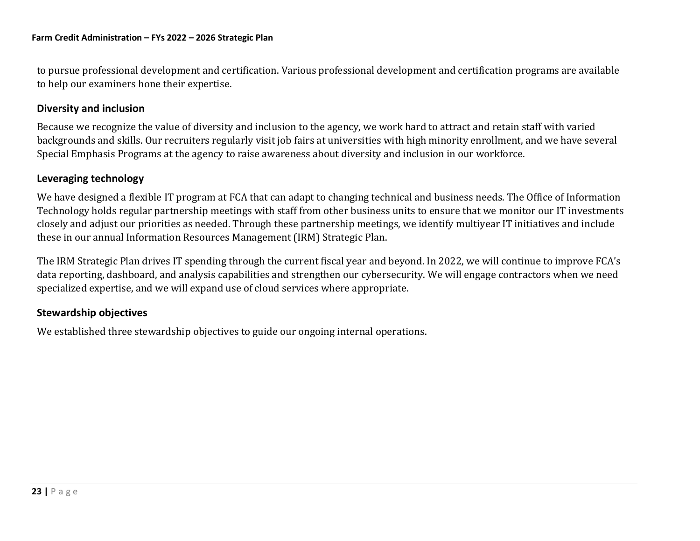to pursue professional development and certification. Various professional development and certification programs are available to help our examiners hone their expertise.

### **Diversity and inclusion**

Because we recognize the value of diversity and inclusion to the agency, we work hard to attract and retain staff with varied backgrounds and skills. Our recruiters regularly visit job fairs at universities with high minority enrollment, and we have several Special Emphasis Programs at the agency to raise awareness about diversity and inclusion in our workforce.

### **Leveraging technology**

We have designed a flexible IT program at FCA that can adapt to changing technical and business needs. The Office of Information Technology holds regular partnership meetings with staff from other business units to ensure that we monitor our IT investments closely and adjust our priorities as needed. Through these partnership meetings, we identify multiyear IT initiatives and include these in our annual Information Resources Management (IRM) Strategic Plan.

The IRM Strategic Plan drives IT spending through the current fiscal year and beyond. In 2022, we will continue to improve FCA's data reporting, dashboard, and analysis capabilities and strengthen our cybersecurity. We will engage contractors when we need specialized expertise, and we will expand use of cloud services where appropriate.

### **Stewardship objectives**

We established three stewardship objectives to guide our ongoing internal operations.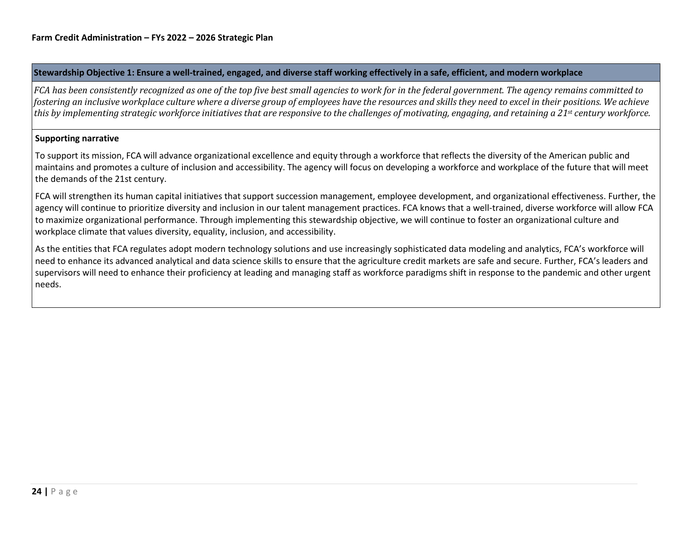#### Stewardship Objective 1: Ensure a well-trained, engaged, and diverse staff working effectively in a safe, efficient, and modern workplace

*FCA has been consistently recognized as one of the top five best small agencies to work for in the federal government. The agency remains committed to* fostering an inclusive workplace culture where a diverse group of employees have the resources and skills they need to excel in their positions. We achieve this by implementing strategic workforce initiatives that are responsive to the challenges of motivating, engaging, and retaining a 21st century workforce.

#### **Supporting narrative**

To support its mission, FCA will advance organizational excellence and equity through a workforce that reflects the diversity of the American public and maintains and promotes a culture of inclusion and accessibility. The agency will focus on developing a workforce and workplace of the future that will meet the demands of the 21st century.

FCA will strengthen its human capital initiatives that support succession management, employee development, and organizational effectiveness. Further, the agency will continue to prioritize diversity and inclusion in our talent management practices. FCA knows that a well-trained, diverse workforce will allow FCA to maximize organizational performance. Through implementing this stewardship objective, we will continue to foster an organizational culture and workplace climate that values diversity, equality, inclusion, and accessibility.

As the entities that FCA regulates adopt modern technology solutions and use increasingly sophisticated data modeling and analytics, FCA's workforce will need to enhance its advanced analytical and data science skills to ensure that the agriculture credit markets are safe and secure. Further, FCA's leaders and supervisors will need to enhance their proficiency at leading and managing staff as workforce paradigms shift in response to the pandemic and other urgent needs.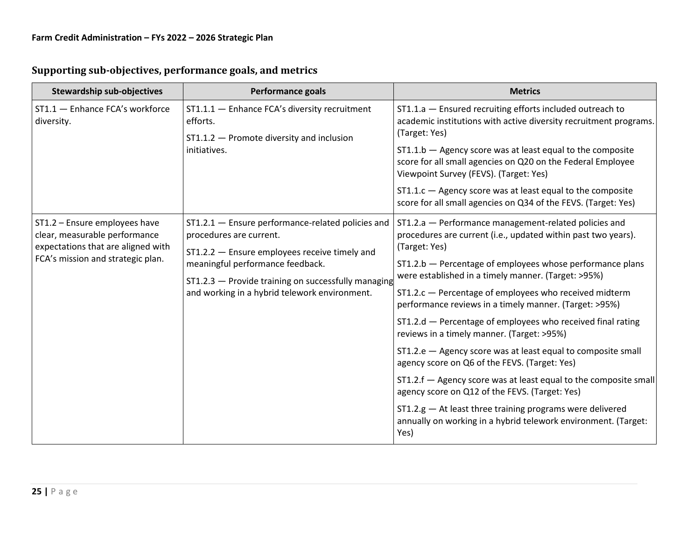| <b>Stewardship sub-objectives</b>                                                                                                                                             | <b>Performance goals</b>                                                                                                                                              | <b>Metrics</b>                                                                                                                          |
|-------------------------------------------------------------------------------------------------------------------------------------------------------------------------------|-----------------------------------------------------------------------------------------------------------------------------------------------------------------------|-----------------------------------------------------------------------------------------------------------------------------------------|
| ST1.1 - Enhance FCA's workforce<br>ST1.1.1 - Enhance FCA's diversity recruitment<br>diversity.<br>efforts.<br>$ST1.1.2$ - Promote diversity and inclusion<br>initiatives.     | ST1.1.a - Ensured recruiting efforts included outreach to<br>academic institutions with active diversity recruitment programs.<br>(Target: Yes)                       |                                                                                                                                         |
|                                                                                                                                                                               | $ST1.1.b -$ Agency score was at least equal to the composite<br>score for all small agencies on Q20 on the Federal Employee<br>Viewpoint Survey (FEVS). (Target: Yes) |                                                                                                                                         |
|                                                                                                                                                                               |                                                                                                                                                                       | $ST1.1.c$ - Agency score was at least equal to the composite<br>score for all small agencies on Q34 of the FEVS. (Target: Yes)          |
| ST1.2 - Ensure employees have<br>clear, measurable performance<br>expectations that are aligned with                                                                          | ST1.2.1 - Ensure performance-related policies and<br>procedures are current.<br>ST1.2.2 - Ensure employees receive timely and                                         | ST1.2.a - Performance management-related policies and<br>procedures are current (i.e., updated within past two years).<br>(Target: Yes) |
| FCA's mission and strategic plan.<br>meaningful performance feedback.<br>ST1.2.3 - Provide training on successfully managing<br>and working in a hybrid telework environment. |                                                                                                                                                                       | $ST1.2.b$ – Percentage of employees whose performance plans<br>were established in a timely manner. (Target: >95%)                      |
|                                                                                                                                                                               | ST1.2.c - Percentage of employees who received midterm<br>performance reviews in a timely manner. (Target: >95%)                                                      |                                                                                                                                         |
|                                                                                                                                                                               |                                                                                                                                                                       | ST1.2.d - Percentage of employees who received final rating<br>reviews in a timely manner. (Target: >95%)                               |
|                                                                                                                                                                               |                                                                                                                                                                       | ST1.2.e - Agency score was at least equal to composite small<br>agency score on Q6 of the FEVS. (Target: Yes)                           |
|                                                                                                                                                                               |                                                                                                                                                                       | ST1.2.f - Agency score was at least equal to the composite small<br>agency score on Q12 of the FEVS. (Target: Yes)                      |
|                                                                                                                                                                               |                                                                                                                                                                       | $ST1.2.g$ $-$ At least three training programs were delivered<br>annually on working in a hybrid telework environment. (Target:<br>Yes) |

# **Supporting sub-objectives, performance goals, and metrics**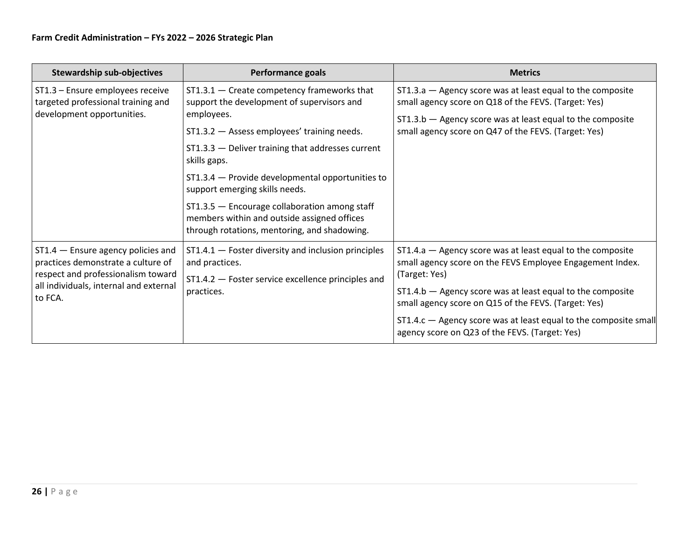| <b>Stewardship sub-objectives</b>                                                                                | <b>Performance goals</b>                                                                                                                                                                                                                                                                                                                                               | <b>Metrics</b>                                                                                                                                                                                                                             |
|------------------------------------------------------------------------------------------------------------------|------------------------------------------------------------------------------------------------------------------------------------------------------------------------------------------------------------------------------------------------------------------------------------------------------------------------------------------------------------------------|--------------------------------------------------------------------------------------------------------------------------------------------------------------------------------------------------------------------------------------------|
| ST1.3 - Ensure employees receive<br>targeted professional training and<br>development opportunities.             | $ST1.3.1 -$ Create competency frameworks that<br>support the development of supervisors and<br>employees.<br>ST1.3.2 - Assess employees' training needs.<br>$ST1.3.3$ - Deliver training that addresses current<br>skills gaps.<br>ST1.3.4 – Provide developmental opportunities to<br>support emerging skills needs.<br>ST1.3.5 - Encourage collaboration among staff | ST1.3.a - Agency score was at least equal to the composite<br>small agency score on Q18 of the FEVS. (Target: Yes)<br>$ST1.3.b$ – Agency score was at least equal to the composite<br>small agency score on Q47 of the FEVS. (Target: Yes) |
|                                                                                                                  | members within and outside assigned offices<br>through rotations, mentoring, and shadowing.                                                                                                                                                                                                                                                                            |                                                                                                                                                                                                                                            |
| $ST1.4$ - Ensure agency policies and<br>practices demonstrate a culture of<br>respect and professionalism toward | $ST1.4.1$ - Foster diversity and inclusion principles<br>and practices.<br>ST1.4.2 - Foster service excellence principles and                                                                                                                                                                                                                                          | $ST1.4.a$ - Agency score was at least equal to the composite<br>small agency score on the FEVS Employee Engagement Index.<br>(Target: Yes)                                                                                                 |
| all individuals, internal and external<br>to FCA.                                                                | practices.                                                                                                                                                                                                                                                                                                                                                             | $ST1.4.b$ $-$ Agency score was at least equal to the composite<br>small agency score on Q15 of the FEVS. (Target: Yes)                                                                                                                     |
|                                                                                                                  |                                                                                                                                                                                                                                                                                                                                                                        | $ST1.4.c$ – Agency score was at least equal to the composite small<br>agency score on Q23 of the FEVS. (Target: Yes)                                                                                                                       |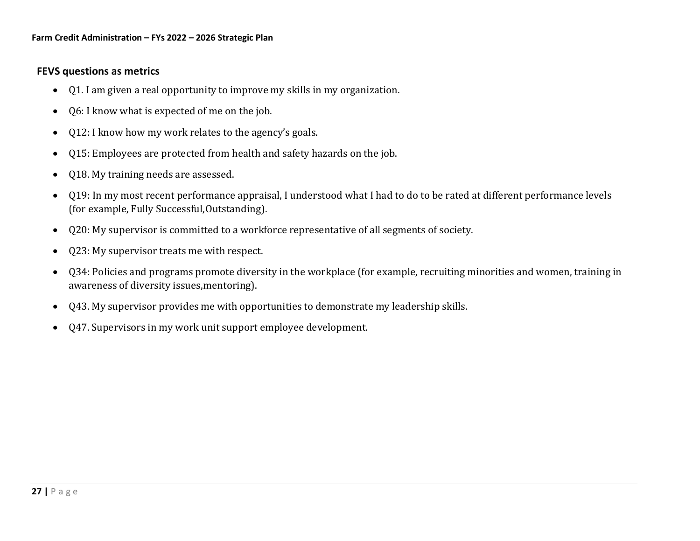## **FEVS questions as metrics**

- Q1. I am given a real opportunity to improve my skills in my organization.
- Q6: I know what is expected of me on the job.
- Q12: I know how my work relates to the agency's goals.
- Q15: Employees are protected from health and safety hazards on the job.
- O18. My training needs are assessed.
- Q19: In my most recent performance appraisal, I understood what I had to do to be rated at different performance levels (for example, Fully Successful,Outstanding).
- Q20: My supervisor is committed to a workforce representative of all segments of society.
- Q23: My supervisor treats me with respect.
- Q34: Policies and programs promote diversity in the workplace (for example, recruiting minorities and women, training in awareness of diversity issues,mentoring).
- Q43. My supervisor provides me with opportunities to demonstrate my leadership skills.
- Q47. Supervisors in my work unit support employee development.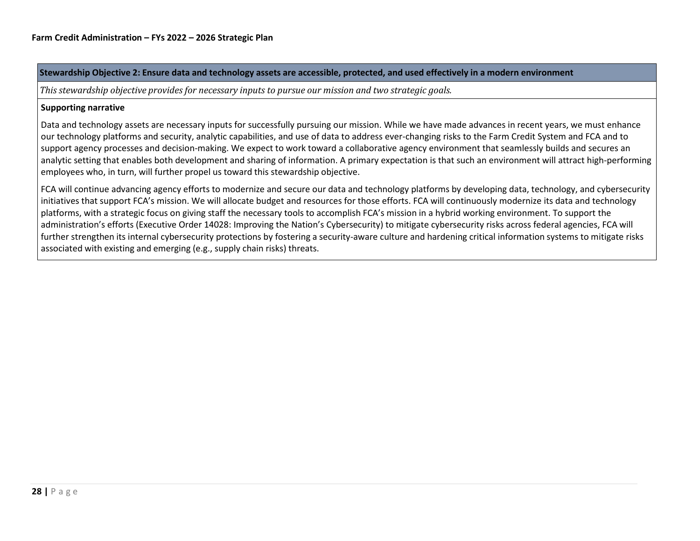#### Stewardship Objective 2: Ensure data and technology assets are accessible, protected, and used effectively in a modern environment

*This stewardship objective provides for necessary inputs to pursue our mission and two strategic goals.*

#### **Supporting narrative**

Data and technology assets are necessary inputs for successfully pursuing our mission. While we have made advances in recent years, we must enhance our technology platforms and security, analytic capabilities, and use of data to address ever-changing risks to the Farm Credit System and FCA and to support agency processes and decision-making. We expect to work toward a collaborative agency environment that seamlessly builds and secures an analytic setting that enables both development and sharing of information. A primary expectation is that such an environment will attract high-performing employees who, in turn, will further propel us toward this stewardship objective.

FCA will continue advancing agency efforts to modernize and secure our data and technology platforms by developing data, technology, and cybersecurity initiatives that support FCA's mission. We will allocate budget and resources for those efforts. FCA will continuously modernize its data and technology platforms, with a strategic focus on giving staff the necessary tools to accomplish FCA's mission in a hybrid working environment. To support the administration's efforts (Executive Order 14028: Improving the Nation's Cybersecurity) to mitigate cybersecurity risks across federal agencies, FCA will further strengthen its internal cybersecurity protections by fostering a security-aware culture and hardening critical information systems to mitigate risks associated with existing and emerging (e.g., supply chain risks) threats.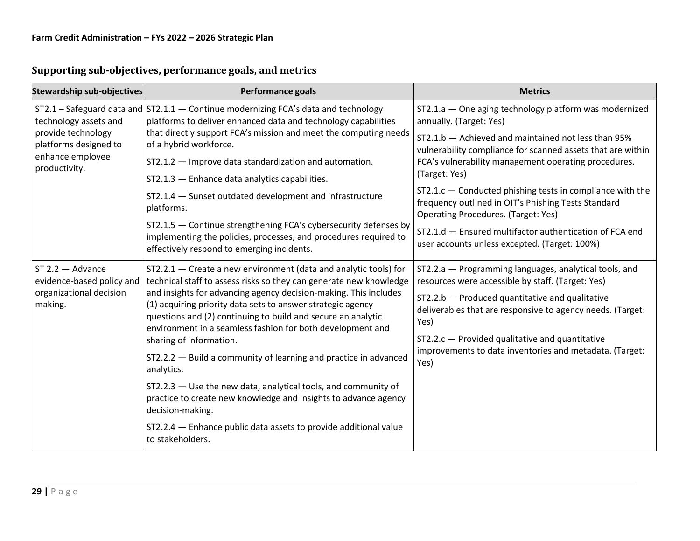| <b>Stewardship sub-objectives</b>                                                        | <b>Performance goals</b>                                                                                                                                                                                   | <b>Metrics</b>                                                                                                                                                             |  |
|------------------------------------------------------------------------------------------|------------------------------------------------------------------------------------------------------------------------------------------------------------------------------------------------------------|----------------------------------------------------------------------------------------------------------------------------------------------------------------------------|--|
| technology assets and<br>provide technology<br>platforms designed to<br>enhance employee | $ST2.1$ – Safeguard data and $ST2.1.1$ – Continue modernizing FCA's data and technology<br>platforms to deliver enhanced data and technology capabilities                                                  | ST2.1.a - One aging technology platform was modernized<br>annually. (Target: Yes)                                                                                          |  |
|                                                                                          | that directly support FCA's mission and meet the computing needs<br>of a hybrid workforce.<br>ST2.1.2 - Improve data standardization and automation.                                                       | ST2.1.b - Achieved and maintained not less than 95%<br>vulnerability compliance for scanned assets that are within<br>FCA's vulnerability management operating procedures. |  |
| productivity.                                                                            | $ST2.1.3$ - Enhance data analytics capabilities.                                                                                                                                                           | (Target: Yes)                                                                                                                                                              |  |
|                                                                                          | ST2.1.4 - Sunset outdated development and infrastructure<br>platforms.                                                                                                                                     | $ST2.1.c$ – Conducted phishing tests in compliance with the<br>frequency outlined in OIT's Phishing Tests Standard<br><b>Operating Procedures. (Target: Yes)</b>           |  |
|                                                                                          | ST2.1.5 - Continue strengthening FCA's cybersecurity defenses by<br>implementing the policies, processes, and procedures required to<br>effectively respond to emerging incidents.                         | ST2.1.d - Ensured multifactor authentication of FCA end<br>user accounts unless excepted. (Target: 100%)                                                                   |  |
| $ST$ 2.2 $-$ Advance<br>evidence-based policy and<br>organizational decision<br>making.  | ST2.2.1 - Create a new environment (data and analytic tools) for<br>technical staff to assess risks so they can generate new knowledge<br>and insights for advancing agency decision-making. This includes | ST2.2.a - Programming languages, analytical tools, and<br>resources were accessible by staff. (Target: Yes)                                                                |  |
|                                                                                          | (1) acquiring priority data sets to answer strategic agency<br>questions and (2) continuing to build and secure an analytic<br>environment in a seamless fashion for both development and                  | $ST2.2.b -$ Produced quantitative and qualitative<br>deliverables that are responsive to agency needs. (Target:<br>Yes)                                                    |  |
|                                                                                          | sharing of information.                                                                                                                                                                                    | $ST2.2.c -$ Provided qualitative and quantitative                                                                                                                          |  |
|                                                                                          | ST2.2.2 - Build a community of learning and practice in advanced<br>analytics.                                                                                                                             | improvements to data inventories and metadata. (Target:<br>Yes)                                                                                                            |  |
|                                                                                          | ST2.2.3 - Use the new data, analytical tools, and community of<br>practice to create new knowledge and insights to advance agency<br>decision-making.                                                      |                                                                                                                                                                            |  |
|                                                                                          | ST2.2.4 - Enhance public data assets to provide additional value<br>to stakeholders.                                                                                                                       |                                                                                                                                                                            |  |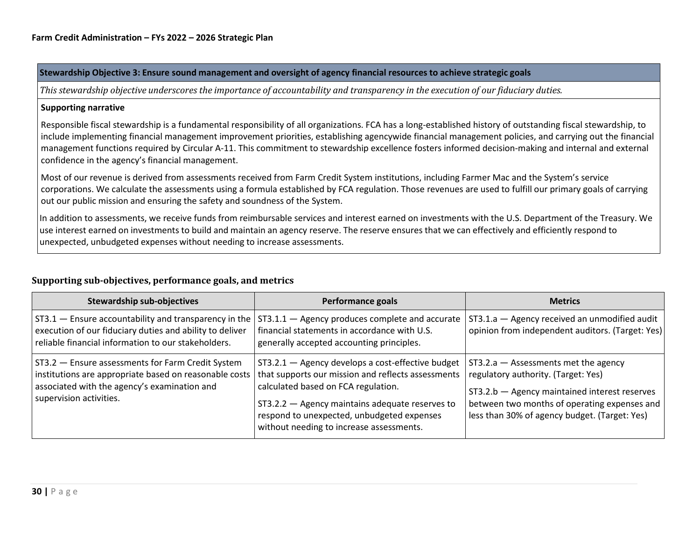**Stewardship Objective 3: Ensure sound management and oversight of agency financial resources to achieve strategic goals**

This stewardship objective underscores the importance of accountability and transparency in the execution of our fiduciary duties.

#### **Supporting narrative**

Responsible fiscal stewardship is a fundamental responsibility of all organizations. FCA has a long-established history of outstanding fiscal stewardship, to include implementing financial management improvement priorities, establishing agencywide financial management policies, and carrying out the financial management functions required by Circular A-11. This commitment to stewardship excellence fosters informed decision-making and internal and external confidence in the agency's financial management.

Most of our revenue is derived from assessments received from Farm Credit System institutions, including Farmer Mac and the System's service corporations. We calculate the assessments using a formula established by FCA regulation. Those revenues are used to fulfill our primary goals of carrying out our public mission and ensuring the safety and soundness of the System.

In addition to assessments, we receive funds from reimbursable services and interest earned on investments with the U.S. Department of the Treasury. We use interest earned on investments to build and maintain an agency reserve. The reserve ensures that we can effectively and efficiently respond to unexpected, unbudgeted expenses without needing to increase assessments.

#### **Supporting sub-objectives, performance goals, and metrics**

| <b>Stewardship sub-objectives</b>                                                                                                                                                      | <b>Performance goals</b>                                                                                                                                                                                                                                                                    | <b>Metrics</b>                                                                                                                                                                                                                  |
|----------------------------------------------------------------------------------------------------------------------------------------------------------------------------------------|---------------------------------------------------------------------------------------------------------------------------------------------------------------------------------------------------------------------------------------------------------------------------------------------|---------------------------------------------------------------------------------------------------------------------------------------------------------------------------------------------------------------------------------|
| ST3.1 - Ensure accountability and transparency in the<br>execution of our fiduciary duties and ability to deliver<br>reliable financial information to our stakeholders.               | ST3.1.1 - Agency produces complete and accurate<br>financial statements in accordance with U.S.<br>generally accepted accounting principles.                                                                                                                                                | ST3.1.a - Agency received an unmodified audit<br>opinion from independent auditors. (Target: Yes)                                                                                                                               |
| ST3.2 - Ensure assessments for Farm Credit System<br>institutions are appropriate based on reasonable costs<br>associated with the agency's examination and<br>supervision activities. | ST3.2.1 - Agency develops a cost-effective budget<br>that supports our mission and reflects assessments<br>calculated based on FCA regulation.<br>ST3.2.2 - Agency maintains adequate reserves to<br>respond to unexpected, unbudgeted expenses<br>without needing to increase assessments. | $ST3.2.a - Assessments met the agency$<br>regulatory authority. (Target: Yes)<br>ST3.2.b - Agency maintained interest reserves<br>between two months of operating expenses and<br>less than 30% of agency budget. (Target: Yes) |